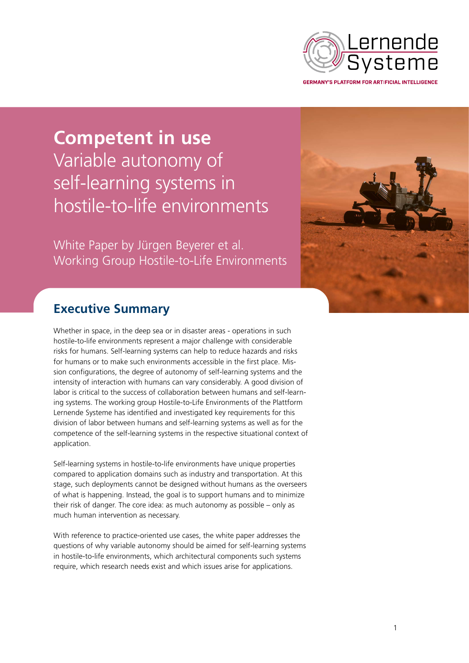

**Competent in use** Variable autonomy of self-learning systems in hostile-to-life environments

White Paper by Jürgen Beyerer et al. Working Group Hostile-to-Life Environments



# **Executive Summary**

Whether in space, in the deep sea or in disaster areas - operations in such hostile-to-life environments represent a major challenge with considerable risks for humans. Self-learning systems can help to reduce hazards and risks for humans or to make such environments accessible in the first place. Mission configurations, the degree of autonomy of self-learning systems and the intensity of interaction with humans can vary considerably. A good division of labor is critical to the success of collaboration between humans and self-learning systems. The working group Hostile-to-Life Environments of the Plattform Lernende Systeme has identified and investigated key requirements for this division of labor between humans and self-learning systems as well as for the competence of the self-learning systems in the respective situational context of application.

Self-learning systems in hostile-to-life environments have unique properties compared to application domains such as industry and transportation. At this stage, such deployments cannot be designed without humans as the overseers of what is happening. Instead, the goal is to support humans and to minimize their risk of danger. The core idea: as much autonomy as possible – only as much human intervention as necessary.

With reference to practice-oriented use cases, the white paper addresses the questions of why variable autonomy should be aimed for self-learning systems in hostile-to-life environments, which architectural components such systems require, which research needs exist and which issues arise for applications.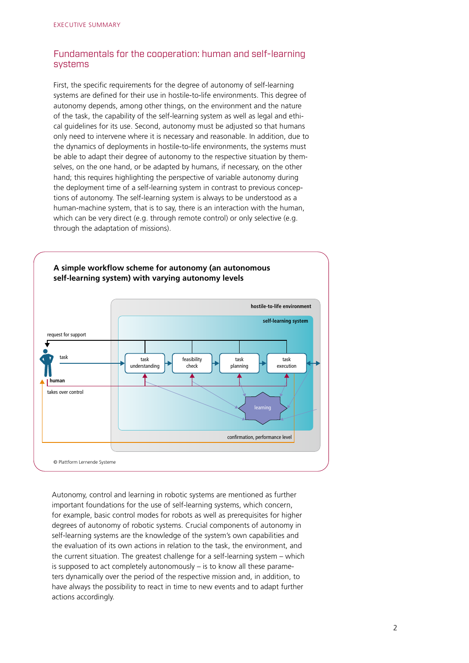# Fundamentals for the cooperation: human and self-learning systems

First, the specific requirements for the degree of autonomy of self-learning systems are defined for their use in hostile-to-life environments. This degree of autonomy depends, among other things, on the environment and the nature of the task, the capability of the self-learning system as well as legal and ethical guidelines for its use. Second, autonomy must be adjusted so that humans only need to intervene where it is necessary and reasonable. In addition, due to the dynamics of deployments in hostile-to-life environments, the systems must be able to adapt their degree of autonomy to the respective situation by themselves, on the one hand, or be adapted by humans, if necessary, on the other hand; this requires highlighting the perspective of variable autonomy during the deployment time of a self-learning system in contrast to previous conceptions of autonomy. The self-learning system is always to be understood as a human-machine system, that is to say, there is an interaction with the human, which can be very direct (e.g. through remote control) or only selective (e.g. through the adaptation of missions).



Autonomy, control and learning in robotic systems are mentioned as further important foundations for the use of self-learning systems, which concern, for example, basic control modes for robots as well as prerequisites for higher degrees of autonomy of robotic systems. Crucial components of autonomy in self-learning systems are the knowledge of the system's own capabilities and the evaluation of its own actions in relation to the task, the environment, and the current situation. The greatest challenge for a self-learning system – which is supposed to act completely autonomously – is to know all these parameters dynamically over the period of the respective mission and, in addition, to have always the possibility to react in time to new events and to adapt further actions accordingly.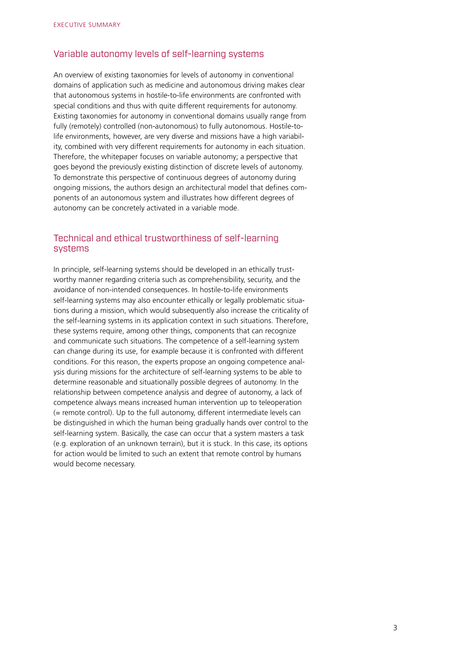## Variable autonomy levels of self-learning systems

An overview of existing taxonomies for levels of autonomy in conventional domains of application such as medicine and autonomous driving makes clear that autonomous systems in hostile-to-life environments are confronted with special conditions and thus with quite different requirements for autonomy. Existing taxonomies for autonomy in conventional domains usually range from fully (remotely) controlled (non-autonomous) to fully autonomous. Hostile-tolife environments, however, are very diverse and missions have a high variability, combined with very different requirements for autonomy in each situation. Therefore, the whitepaper focuses on variable autonomy; a perspective that goes beyond the previously existing distinction of discrete levels of autonomy. To demonstrate this perspective of continuous degrees of autonomy during ongoing missions, the authors design an architectural model that defines components of an autonomous system and illustrates how different degrees of autonomy can be concretely activated in a variable mode.

## Technical and ethical trustworthiness of self-learning systems

In principle, self-learning systems should be developed in an ethically trustworthy manner regarding criteria such as comprehensibility, security, and the avoidance of non-intended consequences. In hostile-to-life environments self-learning systems may also encounter ethically or legally problematic situations during a mission, which would subsequently also increase the criticality of the self-learning systems in its application context in such situations. Therefore, these systems require, among other things, components that can recognize and communicate such situations. The competence of a self-learning system can change during its use, for example because it is confronted with different conditions. For this reason, the experts propose an ongoing competence analysis during missions for the architecture of self-learning systems to be able to determine reasonable and situationally possible degrees of autonomy. In the relationship between competence analysis and degree of autonomy, a lack of competence always means increased human intervention up to teleoperation (= remote control). Up to the full autonomy, different intermediate levels can be distinguished in which the human being gradually hands over control to the self-learning system. Basically, the case can occur that a system masters a task (e.g. exploration of an unknown terrain), but it is stuck. In this case, its options for action would be limited to such an extent that remote control by humans would become necessary.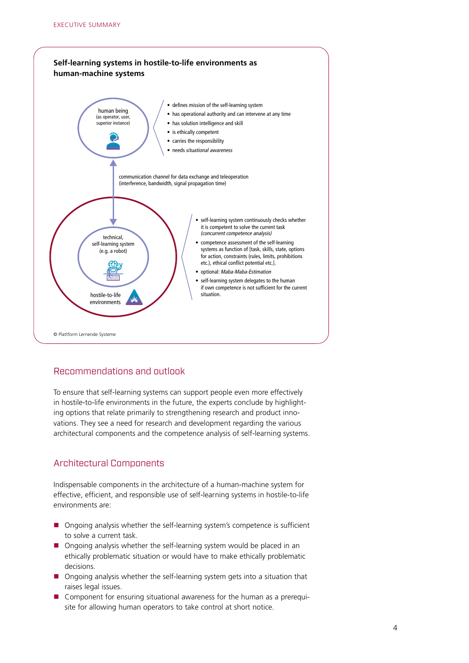

# Recommendations and outlook

To ensure that self-learning systems can support people even more effectively in hostile-to-life environments in the future, the experts conclude by highlighting options that relate primarily to strengthening research and product innovations. They see a need for research and development regarding the various architectural components and the competence analysis of self-learning systems.

# Architectural Components

Indispensable components in the architecture of a human-machine system for effective, efficient, and responsible use of self-learning systems in hostile-to-life environments are:

- Ongoing analysis whether the self-learning system's competence is sufficient to solve a current task.
- Ongoing analysis whether the self-learning system would be placed in an ethically problematic situation or would have to make ethically problematic decisions.
- Ongoing analysis whether the self-learning system gets into a situation that raises legal issues.
- Component for ensuring situational awareness for the human as a prerequisite for allowing human operators to take control at short notice.